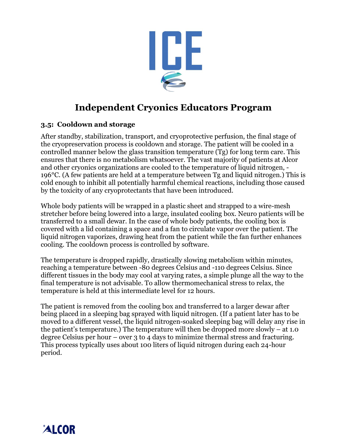

# **Independent Cryonics Educators Program**

## **3.5: Cooldown and storage**

After standby, stabilization, transport, and cryoprotective perfusion, the final stage of the cryopreservation process is cooldown and storage. The patient will be cooled in a controlled manner below the glass transition temperature (Tg) for long term care. This ensures that there is no metabolism whatsoever. The vast majority of patients at Alcor and other cryonics organizations are cooled to the temperature of liquid nitrogen, - 196°C. (A few patients are held at a temperature between Tg and liquid nitrogen.) This is cold enough to inhibit all potentially harmful chemical reactions, including those caused by the toxicity of any cryoprotectants that have been introduced.

Whole body patients will be wrapped in a plastic sheet and strapped to a wire-mesh stretcher before being lowered into a large, insulated cooling box. Neuro patients will be transferred to a small dewar. In the case of whole body patients, the cooling box is covered with a lid containing a space and a fan to circulate vapor over the patient. The liquid nitrogen vaporizes, drawing heat from the patient while the fan further enhances cooling. The cooldown process is controlled by software.

The temperature is dropped rapidly, drastically slowing metabolism within minutes, reaching a temperature between -80 degrees Celsius and -110 degrees Celsius. Since different tissues in the body may cool at varying rates, a simple plunge all the way to the final temperature is not advisable. To allow thermomechanical stress to relax, the temperature is held at this intermediate level for 12 hours.

The patient is removed from the cooling box and transferred to a larger dewar after being placed in a sleeping bag sprayed with liquid nitrogen. (If a patient later has to be moved to a different vessel, the liquid nitrogen-soaked sleeping bag will delay any rise in the patient's temperature.) The temperature will then be dropped more slowly – at 1.0 degree Celsius per hour – over 3 to 4 days to minimize thermal stress and fracturing. This process typically uses about 100 liters of liquid nitrogen during each 24-hour period.

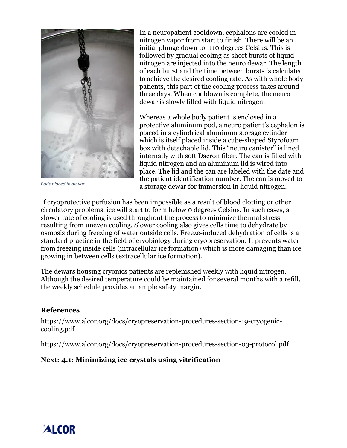

*Pods placed in dewar* 

In a neuropatient cooldown, cephalons are cooled in nitrogen vapor from start to finish. There will be an initial plunge down to -110 degrees Celsius. This is followed by gradual cooling as short bursts of liquid nitrogen are injected into the neuro dewar. The length of each burst and the time between bursts is calculated to achieve the desired cooling rate. As with whole body patients, this part of the cooling process takes around three days. When cooldown is complete, the neuro dewar is slowly filled with liquid nitrogen.

Whereas a whole body patient is enclosed in a protective aluminum pod, a neuro patient's cephalon is placed in a cylindrical aluminum storage cylinder which is itself placed inside a cube-shaped Styrofoam box with detachable lid. This "neuro canister" is lined internally with soft Dacron fiber. The can is filled with liquid nitrogen and an aluminum lid is wired into place. The lid and the can are labeled with the date and the patient identification number. The can is moved to a storage dewar for immersion in liquid nitrogen.

If cryoprotective perfusion has been impossible as a result of blood clotting or other circulatory problems, ice will start to form below 0 degrees Celsius. In such cases, a slower rate of cooling is used throughout the process to minimize thermal stress resulting from uneven cooling. Slower cooling also gives cells time to dehydrate by osmosis during freezing of water outside cells. Freeze-induced dehydration of cells is a standard practice in the field of cryobiology during cryopreservation. It prevents water from freezing inside cells (intracellular ice formation) which is more damaging than ice growing in between cells (extracellular ice formation).

The dewars housing cryonics patients are replenished weekly with liquid nitrogen. Although the desired temperature could be maintained for several months with a refill, the weekly schedule provides an ample safety margin.

#### **References**

https://www.alcor.org/docs/cryopreservation-procedures-section-19-cryogeniccooling.pdf

https://www.alcor.org/docs/cryopreservation-procedures-section-03-protocol.pdf

### **Next: 4.1: Minimizing ice crystals using vitrification**